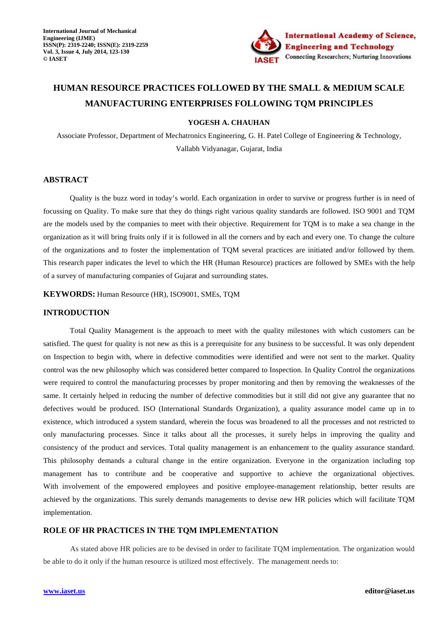

# **HUMAN RESOURCE PRACTICES FOLLOWED BY THE SMALL & MEDIUM SCALE MANUFACTURING ENTERPRISES FOLLOWING TQM PRINCIPLES**

#### **YOGESH A. CHAUHAN**

Associate Professor, Department of Mechatronics Engineering, G. H. Patel College of Engineering & Technology, Vallabh Vidyanagar, Gujarat, India

### **ABSTRACT**

 Quality is the buzz word in today's world. Each organization in order to survive or progress further is in need of focussing on Quality. To make sure that they do things right various quality standards are followed. ISO 9001 and TQM are the models used by the companies to meet with their objective. Requirement for TQM is to make a sea change in the organization as it will bring fruits only if it is followed in all the corners and by each and every one. To change the culture of the organizations and to foster the implementation of TQM several practices are initiated and/or followed by them. This research paper indicates the level to which the HR (Human Resource) practices are followed by SMEs with the help of a survey of manufacturing companies of Gujarat and surrounding states.

**KEYWORDS:** Human Resource (HR), ISO9001, SMEs, TQM

#### **INTRODUCTION**

 Total Quality Management is the approach to meet with the quality milestones with which customers can be satisfied. The quest for quality is not new as this is a prerequisite for any business to be successful. It was only dependent on Inspection to begin with, where in defective commodities were identified and were not sent to the market. Quality control was the new philosophy which was considered better compared to Inspection. In Quality Control the organizations were required to control the manufacturing processes by proper monitoring and then by removing the weaknesses of the same. It certainly helped in reducing the number of defective commodities but it still did not give any guarantee that no defectives would be produced. ISO (International Standards Organization), a quality assurance model came up in to existence, which introduced a system standard, wherein the focus was broadened to all the processes and not restricted to only manufacturing processes. Since it talks about all the processes, it surely helps in improving the quality and consistency of the product and services. Total quality management is an enhancement to the quality assurance standard. This philosophy demands a cultural change in the entire organization. Everyone in the organization including top management has to contribute and be cooperative and supportive to achieve the organizational objectives. With involvement of the empowered employees and positive employee-management relationship, better results are achieved by the organizations. This surely demands managements to devise new HR policies which will facilitate TQM implementation.

### **ROLE OF HR PRACTICES IN THE TQM IMPLEMENTATION**

As stated above HR policies are to be devised in order to facilitate TQM implementation. The organization would be able to do it only if the human resource is utilized most effectively. The management needs to: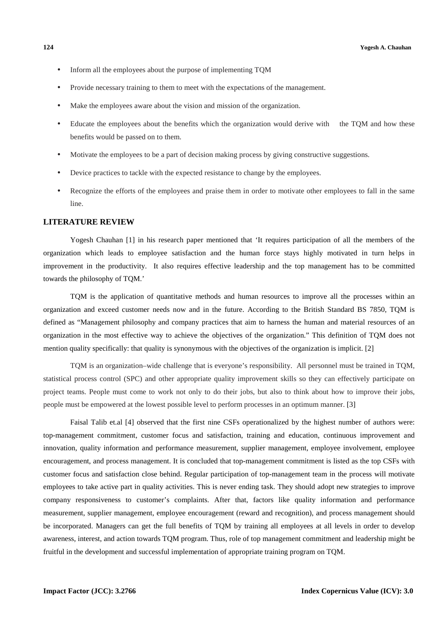- Inform all the employees about the purpose of implementing TQM
- Provide necessary training to them to meet with the expectations of the management.
- Make the employees aware about the vision and mission of the organization.
- Educate the employees about the benefits which the organization would derive with the TQM and how these benefits would be passed on to them.
- Motivate the employees to be a part of decision making process by giving constructive suggestions.
- Device practices to tackle with the expected resistance to change by the employees.
- Recognize the efforts of the employees and praise them in order to motivate other employees to fall in the same line.

#### **LITERATURE REVIEW**

Yogesh Chauhan [1] in his research paper mentioned that 'It requires participation of all the members of the organization which leads to employee satisfaction and the human force stays highly motivated in turn helps in improvement in the productivity. It also requires effective leadership and the top management has to be committed towards the philosophy of TQM.'

TQM is the application of quantitative methods and human resources to improve all the processes within an organization and exceed customer needs now and in the future. According to the British Standard BS 7850, TQM is defined as "Management philosophy and company practices that aim to harness the human and material resources of an organization in the most effective way to achieve the objectives of the organization." This definition of TQM does not mention quality specifically: that quality is synonymous with the objectives of the organization is implicit. [2]

TQM is an organization–wide challenge that is everyone's responsibility. All personnel must be trained in TQM, statistical process control (SPC) and other appropriate quality improvement skills so they can effectively participate on project teams. People must come to work not only to do their jobs, but also to think about how to improve their jobs, people must be empowered at the lowest possible level to perform processes in an optimum manner. [3]

Faisal Talib et.al [4] observed that the first nine CSFs operationalized by the highest number of authors were: top-management commitment, customer focus and satisfaction, training and education, continuous improvement and innovation, quality information and performance measurement, supplier management, employee involvement, employee encouragement, and process management. It is concluded that top-management commitment is listed as the top CSFs with customer focus and satisfaction close behind. Regular participation of top-management team in the process will motivate employees to take active part in quality activities. This is never ending task. They should adopt new strategies to improve company responsiveness to customer's complaints. After that, factors like quality information and performance measurement, supplier management, employee encouragement (reward and recognition), and process management should be incorporated. Managers can get the full benefits of TQM by training all employees at all levels in order to develop awareness, interest, and action towards TQM program. Thus, role of top management commitment and leadership might be fruitful in the development and successful implementation of appropriate training program on TQM.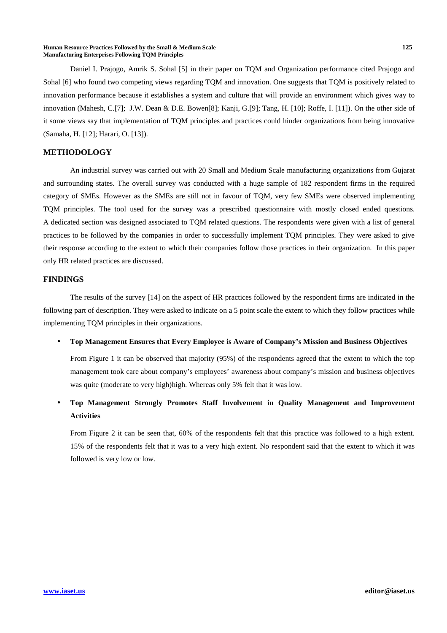#### **Human Resource Practices Followed by the Small & Medium Scale 125 Manufacturing Enterprises Following TQM Principles**

Daniel I. Prajogo, Amrik S. Sohal [5] in their paper on TQM and Organization performance cited Prajogo and Sohal [6] who found two competing views regarding TQM and innovation. One suggests that TQM is positively related to innovation performance because it establishes a system and culture that will provide an environment which gives way to innovation (Mahesh, C.[7]; J.W. Dean & D.E. Bowen[8]; Kanji, G.[9]; Tang, H. [10]; Roffe, I. [11]). On the other side of it some views say that implementation of TQM principles and practices could hinder organizations from being innovative (Samaha, H. [12]; Harari, O. [13]).

### **METHODOLOGY**

An industrial survey was carried out with 20 Small and Medium Scale manufacturing organizations from Gujarat and surrounding states. The overall survey was conducted with a huge sample of 182 respondent firms in the required category of SMEs. However as the SMEs are still not in favour of TQM, very few SMEs were observed implementing TQM principles. The tool used for the survey was a prescribed questionnaire with mostly closed ended questions. A dedicated section was designed associated to TQM related questions. The respondents were given with a list of general practices to be followed by the companies in order to successfully implement TQM principles. They were asked to give their response according to the extent to which their companies follow those practices in their organization. In this paper only HR related practices are discussed.

### **FINDINGS**

The results of the survey [14] on the aspect of HR practices followed by the respondent firms are indicated in the following part of description. They were asked to indicate on a 5 point scale the extent to which they follow practices while implementing TQM principles in their organizations.

• **Top Management Ensures that Every Employee is Aware of Company's Mission and Business Objectives** 

From Figure 1 it can be observed that majority (95%) of the respondents agreed that the extent to which the top management took care about company's employees' awareness about company's mission and business objectives was quite (moderate to very high)high. Whereas only 5% felt that it was low.

• **Top Management Strongly Promotes Staff Involvement in Quality Management and Improvement Activities** 

From Figure 2 it can be seen that, 60% of the respondents felt that this practice was followed to a high extent. 15% of the respondents felt that it was to a very high extent. No respondent said that the extent to which it was followed is very low or low.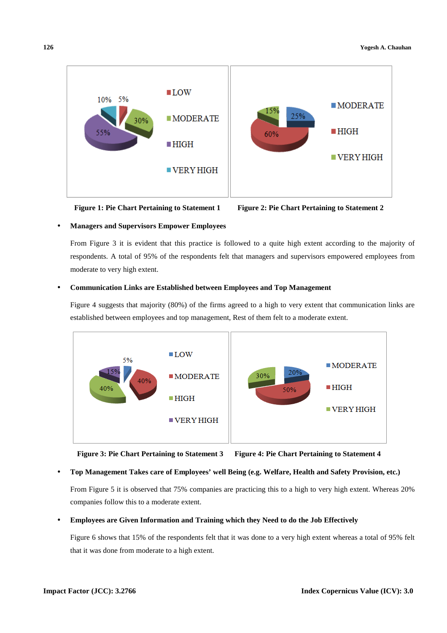

**Figure 1: Pie Chart Pertaining to Statement 1 Figure 2: Pie Chart Pertaining to Statement 2** 

### • **Managers and Supervisors Empower Employees**

From Figure 3 it is evident that this practice is followed to a quite high extent according to the majority of respondents. A total of 95% of the respondents felt that managers and supervisors empowered employees from moderate to very high extent.

### • **Communication Links are Established between Employees and Top Management**

Figure 4 suggests that majority (80%) of the firms agreed to a high to very extent that communication links are established between employees and top management, Rest of them felt to a moderate extent.



**Figure 3: Pie Chart Pertaining to Statement 3 Figure 4: Pie Chart Pertaining to Statement 4** 

### • **Top Management Takes care of Employees' well Being (e.g. Welfare, Health and Safety Provision, etc.)**

From Figure 5 it is observed that 75% companies are practicing this to a high to very high extent. Whereas 20% companies follow this to a moderate extent.

### • **Employees are Given Information and Training which they Need to do the Job Effectively**

Figure 6 shows that 15% of the respondents felt that it was done to a very high extent whereas a total of 95% felt that it was done from moderate to a high extent.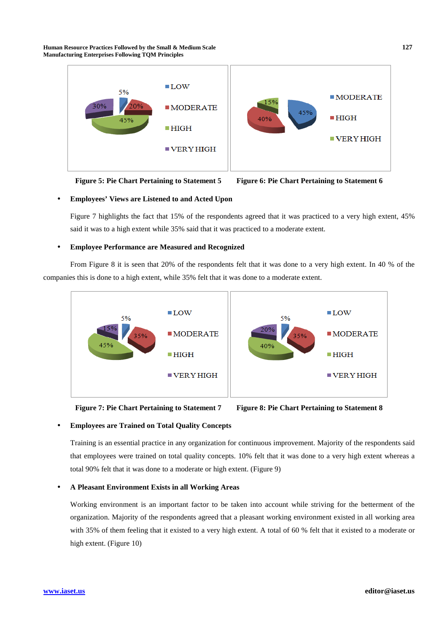**Human Resource Practices Followed by the Small & Medium Scale 127 Manufacturing Enterprises Following TQM Principles**



**Figure 5: Pie Chart Pertaining to Statement 5 Figure 6: Pie Chart Pertaining to Statement 6** 



#### • **Employees' Views are Listened to and Acted Upon**

Figure 7 highlights the fact that 15% of the respondents agreed that it was practiced to a very high extent, 45% said it was to a high extent while 35% said that it was practiced to a moderate extent.

#### • **Employee Performance are Measured and Recognized**

From Figure 8 it is seen that 20% of the respondents felt that it was done to a very high extent. In 40 % of the companies this is done to a high extent, while 35% felt that it was done to a moderate extent.





#### • **Employees are Trained on Total Quality Concepts**

Training is an essential practice in any organization for continuous improvement. Majority of the respondents said that employees were trained on total quality concepts. 10% felt that it was done to a very high extent whereas a total 90% felt that it was done to a moderate or high extent. (Figure 9)

#### • **A Pleasant Environment Exists in all Working Areas**

Working environment is an important factor to be taken into account while striving for the betterment of the organization. Majority of the respondents agreed that a pleasant working environment existed in all working area with 35% of them feeling that it existed to a very high extent. A total of 60 % felt that it existed to a moderate or high extent. (Figure 10)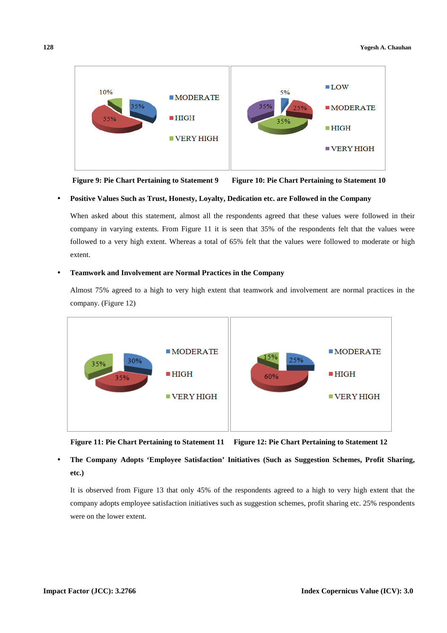

**Figure 9: Pie Chart Pertaining to Statement 9 Figure 10: Pie Chart Pertaining to Statement 10** 

#### • **Positive Values Such as Trust, Honesty, Loyalty, Dedication etc. are Followed in the Company**

When asked about this statement, almost all the respondents agreed that these values were followed in their company in varying extents. From Figure 11 it is seen that 35% of the respondents felt that the values were followed to a very high extent. Whereas a total of 65% felt that the values were followed to moderate or high extent.

#### • **Teamwork and Involvement are Normal Practices in the Company**

Almost 75% agreed to a high to very high extent that teamwork and involvement are normal practices in the company. (Figure 12)



**Figure 11: Pie Chart Pertaining to Statement 11 Figure 12: Pie Chart Pertaining to Statement 12** 

## • **The Company Adopts 'Employee Satisfaction' Initiatives (Such as Suggestion Schemes, Profit Sharing, etc.)**

It is observed from Figure 13 that only 45% of the respondents agreed to a high to very high extent that the company adopts employee satisfaction initiatives such as suggestion schemes, profit sharing etc. 25% respondents were on the lower extent.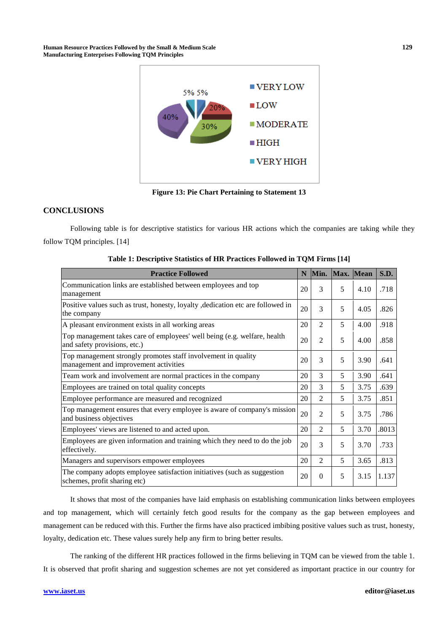**Human Resource Practices Followed by the Small & Medium Scale 129 Manufacturing Enterprises Following TQM Principles**



**Figure 13: Pie Chart Pertaining to Statement 13** 

### **CONCLUSIONS**

Following table is for descriptive statistics for various HR actions which the companies are taking while they follow TQM principles. [14]

| <b>Practice Followed</b>                                                                                 | N  | Min.           | Max. Mean |      | S.D.  |
|----------------------------------------------------------------------------------------------------------|----|----------------|-----------|------|-------|
| Communication links are established between employees and top<br>management                              | 20 | 3              | 5         | 4.10 | .718  |
| Positive values such as trust, honesty, loyalty , dedication etc are followed in<br>the company          | 20 | 3              | 5         | 4.05 | .826  |
| A pleasant environment exists in all working areas                                                       | 20 | $\mathfrak{D}$ | 5         | 4.00 | .918  |
| Top management takes care of employees' well being (e.g. welfare, health<br>and safety provisions, etc.) | 20 | $\overline{2}$ | 5         | 4.00 | .858  |
| Top management strongly promotes staff involvement in quality<br>management and improvement activities   | 20 | 3              | 5         | 3.90 | .641  |
| Team work and involvement are normal practices in the company                                            | 20 | 3              | 5         | 3.90 | .641  |
| Employees are trained on total quality concepts                                                          | 20 | 3              | 5         | 3.75 | .639  |
| Employee performance are measured and recognized                                                         | 20 | $\overline{2}$ | 5         | 3.75 | .851  |
| Top management ensures that every employee is aware of company's mission<br>and business objectives      | 20 | $\overline{2}$ | 5         | 3.75 | .786  |
| Employees' views are listened to and acted upon.                                                         | 20 | $\mathfrak{D}$ | 5         | 3.70 | .8013 |
| Employees are given information and training which they need to do the job<br>effectively.               | 20 | 3              | 5         | 3.70 | .733  |
| Managers and supervisors empower employees                                                               | 20 | $\mathfrak{D}$ | 5         | 3.65 | .813  |
| The company adopts employee satisfaction initiatives (such as suggestion<br>schemes, profit sharing etc) | 20 | $\Omega$       | 5         | 3.15 | 1.137 |

It shows that most of the companies have laid emphasis on establishing communication links between employees and top management, which will certainly fetch good results for the company as the gap between employees and management can be reduced with this. Further the firms have also practiced imbibing positive values such as trust, honesty, loyalty, dedication etc. These values surely help any firm to bring better results.

The ranking of the different HR practices followed in the firms believing in TQM can be viewed from the table 1. It is observed that profit sharing and suggestion schemes are not yet considered as important practice in our country for